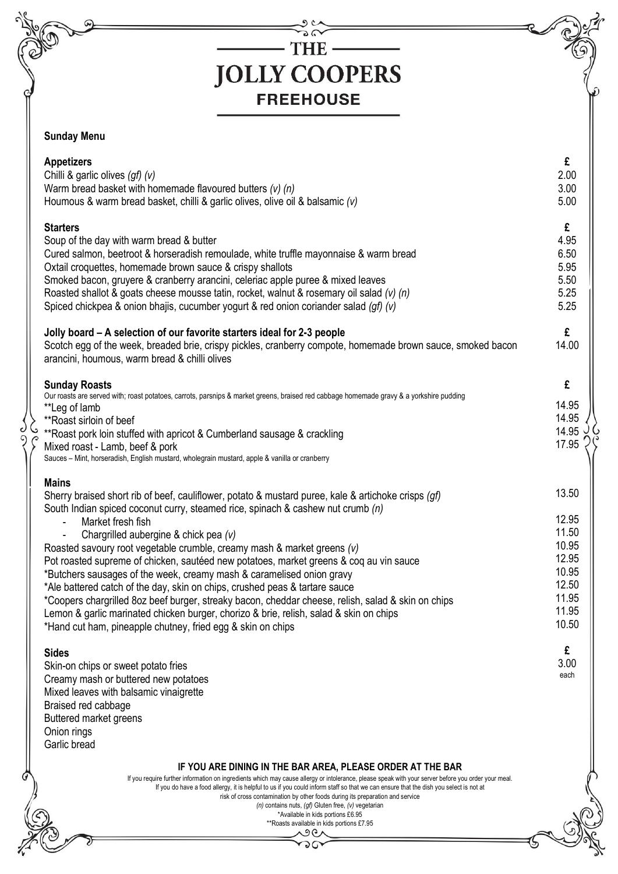|  | THE -                                                                                                                                                                                                                                                                                                                                                                                                                                                                                                                                                                                                                                                                                                                                                                                                                                                            |                                                                                        |
|--|------------------------------------------------------------------------------------------------------------------------------------------------------------------------------------------------------------------------------------------------------------------------------------------------------------------------------------------------------------------------------------------------------------------------------------------------------------------------------------------------------------------------------------------------------------------------------------------------------------------------------------------------------------------------------------------------------------------------------------------------------------------------------------------------------------------------------------------------------------------|----------------------------------------------------------------------------------------|
|  | <b>JOLLY COOPERS</b>                                                                                                                                                                                                                                                                                                                                                                                                                                                                                                                                                                                                                                                                                                                                                                                                                                             |                                                                                        |
|  |                                                                                                                                                                                                                                                                                                                                                                                                                                                                                                                                                                                                                                                                                                                                                                                                                                                                  |                                                                                        |
|  | <b>FREEHOUSE</b>                                                                                                                                                                                                                                                                                                                                                                                                                                                                                                                                                                                                                                                                                                                                                                                                                                                 |                                                                                        |
|  | <b>Sunday Menu</b>                                                                                                                                                                                                                                                                                                                                                                                                                                                                                                                                                                                                                                                                                                                                                                                                                                               |                                                                                        |
|  | <b>Appetizers</b><br>Chilli & garlic olives (gf) (v)<br>Warm bread basket with homemade flavoured butters $(v)$ (n)<br>Houmous & warm bread basket, chilli & garlic olives, olive oil & balsamic (v)                                                                                                                                                                                                                                                                                                                                                                                                                                                                                                                                                                                                                                                             | £<br>2.00<br>3.00<br>5.00                                                              |
|  | <b>Starters</b><br>Soup of the day with warm bread & butter<br>Cured salmon, beetroot & horseradish remoulade, white truffle mayonnaise & warm bread<br>Oxtail croquettes, homemade brown sauce & crispy shallots<br>Smoked bacon, gruyere & cranberry arancini, celeriac apple puree & mixed leaves<br>Roasted shallot & goats cheese mousse tatin, rocket, walnut & rosemary oil salad (v) (n)<br>Spiced chickpea & onion bhajis, cucumber yogurt & red onion coriander salad (gf) (v)<br>Jolly board – A selection of our favorite starters ideal for 2-3 people                                                                                                                                                                                                                                                                                              | £<br>4.95<br>6.50<br>5.95<br>5.50<br>5.25<br>5.25<br>£                                 |
|  | Scotch egg of the week, breaded brie, crispy pickles, cranberry compote, homemade brown sauce, smoked bacon<br>arancini, houmous, warm bread & chilli olives                                                                                                                                                                                                                                                                                                                                                                                                                                                                                                                                                                                                                                                                                                     | 14.00                                                                                  |
|  | <b>Sunday Roasts</b><br>Our roasts are served with; roast potatoes, carrots, parsnips & market greens, braised red cabbage homemade gravy & a yorkshire pudding<br>**Leg of lamb<br>** Roast sirloin of beef<br>**Roast pork loin stuffed with apricot & Cumberland sausage & crackling<br>Mixed roast - Lamb, beef & pork<br>Sauces - Mint, horseradish, English mustard, wholegrain mustard, apple & vanilla or cranberry                                                                                                                                                                                                                                                                                                                                                                                                                                      | £<br>14.95<br>14.95<br>14.95<br>17.95                                                  |
|  | <b>Mains</b><br>Sherry braised short rib of beef, cauliflower, potato & mustard puree, kale & artichoke crisps (qf)<br>South Indian spiced coconut curry, steamed rice, spinach & cashew nut crumb (n)<br>Market fresh fish<br>Chargrilled aubergine & chick pea (v)<br>Roasted savoury root vegetable crumble, creamy mash & market greens (v)<br>Pot roasted supreme of chicken, sautéed new potatoes, market greens & coq au vin sauce<br>*Butchers sausages of the week, creamy mash & caramelised onion gravy<br>*Ale battered catch of the day, skin on chips, crushed peas & tartare sauce<br>*Coopers chargrilled 8oz beef burger, streaky bacon, cheddar cheese, relish, salad & skin on chips<br>Lemon & garlic marinated chicken burger, chorizo & brie, relish, salad & skin on chips<br>*Hand cut ham, pineapple chutney, fried egg & skin on chips | 13.50<br>12.95<br>11.50<br>10.95<br>12.95<br>10.95<br>12.50<br>11.95<br>11.95<br>10.50 |
|  | <b>Sides</b><br>Skin-on chips or sweet potato fries<br>Creamy mash or buttered new potatoes<br>Mixed leaves with balsamic vinaigrette<br>Braised red cabbage<br>Buttered market greens<br>Onion rings<br>Garlic bread                                                                                                                                                                                                                                                                                                                                                                                                                                                                                                                                                                                                                                            | £<br>3.00<br>each                                                                      |
|  | IF YOU ARE DINING IN THE BAR AREA, PLEASE ORDER AT THE BAR<br>If you require further information on ingredients which may cause allergy or intolerance, please speak with your server before you order your meal.<br>If you do have a food allergy, it is helpful to us if you could inform staff so that we can ensure that the dish you select is not at<br>risk of cross contamination by other foods during its preparation and service                                                                                                                                                                                                                                                                                                                                                                                                                      |                                                                                        |

c و

コム

P

ඡ

 $\mathbf{\Omega}$ 

 $\mathcal{O}$ 

| tamination by other foods during its |  |  |
|--------------------------------------|--|--|
|                                      |  |  |

 $(n)$  contains nuts,  $(gf)$  Gluten free,  $(v)$  vegetarian

\*Available in kids portions £6.95 \*\*Roasts available in kids portions £7.95